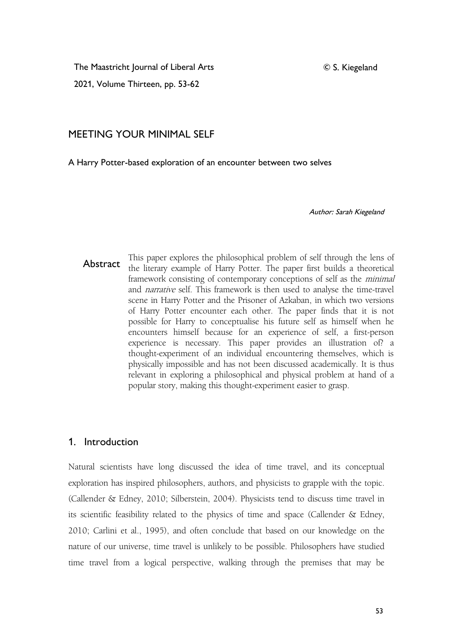© S. Kiegeland

The Maastricht Journal of Liberal Arts

2021, Volume Thirteen, pp. 53-62

# MEETING YOUR MINIMAL SELF

A Harry Potter-based exploration of an encounter between two selves

Author: Sarah Kiegeland

Abstract the literary example of Harry Potter. The paper first builds a theoretical This paper explores the philosophical problem of self through the lens of framework consisting of contemporary conceptions of self as the minimal and narrative self. This framework is then used to analyse the time-travel scene in Harry Potter and the Prisoner of Azkaban, in which two versions of Harry Potter encounter each other. The paper finds that it is not possible for Harry to conceptualise his future self as himself when he encounters himself because for an experience of self, a first-person experience is necessary. This paper provides an illustration of? a thought-experiment of an individual encountering themselves, which is physically impossible and has not been discussed academically. It is thus relevant in exploring a philosophical and physical problem at hand of a popular story, making this thought-experiment easier to grasp.

## 1. Introduction

Natural scientists have long discussed the idea of time travel, and its conceptual exploration has inspired philosophers, authors, and physicists to grapple with the topic. (Callender & Edney, 2010; Silberstein, 2004). Physicists tend to discuss time travel in its scientific feasibility related to the physics of time and space (Callender & Edney, 2010; Carlini et al., 1995), and often conclude that based on our knowledge on the nature of our universe, time travel is unlikely to be possible. Philosophers have studied time travel from a logical perspective, walking through the premises that may be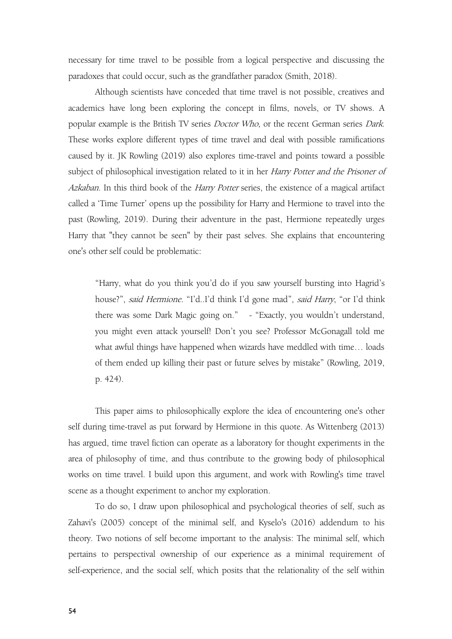necessary for time travel to be possible from a logical perspective and discussing the paradoxes that could occur, such as the grandfather paradox (Smith, 2018).

Although scientists have conceded that time travel is not possible, creatives and academics have long been exploring the concept in films, novels, or TV shows. A popular example is the British TV series Doctor Who, or the recent German series Dark. These works explore different types of time travel and deal with possible ramifications caused by it. JK Rowling (2019) also explores time-travel and points toward a possible subject of philosophical investigation related to it in her Harry Potter and the Prisoner of Azkaban. In this third book of the Harry Potter series, the existence of a magical artifact called a 'Time Turner' opens up the possibility for Harry and Hermione to travelinto the past (Rowling, 2019). During their adventure in the past, Hermione repeatedly urges Harry that "they cannot be seen" by their past selves. She explains that encountering one's other self could be problematic:

"Harry, what do you think you'd do if you saw yourself bursting into Hagrid's house?", said Hermione. "I'd..I'd think I'd gone mad", said Harry, "or I'd think there was some Dark Magic going on." - "Exactly, you wouldn't understand, you might even attack yourself! Don't you see? Professor McGonagall told me what awful things have happened when wizards have meddled with time… loads of them ended up killing their past or future selves by mistake" (Rowling, 2019, p. 424).

This paper aims to philosophically explore the idea of encountering one's other self during time-travel as put forward by Hermione in this quote. As Wittenberg (2013) has argued, time travel fiction can operate as a laboratory for thought experiments in the area of philosophy of time, and thus contribute to the growing body of philosophical works on time travel. I build upon this argument, and work with Rowling's time travel scene as a thought experiment to anchor my exploration.

To do so, I draw upon philosophical and psychological theories of self, such as Zahavi's (2005) concept of the minimal self, and Kyselo's (2016) addendum to his theory. Two notions of self become important to the analysis: The minimal self, which pertains to perspectival ownership of our experience as a minimal requirement of self-experience, and the social self, which posits that the relationality of the self within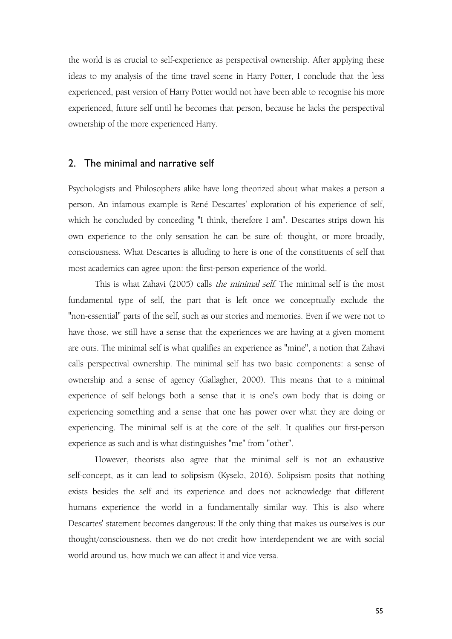the world is as crucial to self-experience as perspectival ownership. After applying these ideas to my analysis of the time travel scene in Harry Potter, I conclude that the less experienced, past version of Harry Potter would not have been able to recognise his more experienced, future self until he becomes that person, because he lacks the perspectival ownership of the more experienced Harry.

#### 2. The minimal and narrative self

Psychologists and Philosophers alike have long theorized about what makes a person a person. An infamous example is René Descartes' exploration of his experience of self, which he concluded by conceding "I think, therefore I am". Descartes strips down his own experience to the only sensation he can be sure of: thought, or more broadly, consciousness. What Descartes is alluding to here is one of the constituents of self that most academics can agree upon: the first-person experience of the world.

This is what Zahavi (2005) calls the minimal self. The minimal self is the most fundamental type of self, the part that is left once we conceptually exclude the "non-essential" parts of the self, such as our stories and memories. Even if we were not to have those, we still have a sense that the experiences we are having at a given moment are ours. The minimal self is what qualifies an experience as "mine", a notion that Zahavi calls perspectival ownership. The minimal self has two basic components: a sense of ownership and a sense of agency (Gallagher, 2000). This means that to a minimal experience of self belongs both a sense that it is one's own body that is doing or experiencing something and a sense that one has power over what they are doing or experiencing. The minimal self is at the core of the self. It qualifies our first-person experience as such and is what distinguishes "me" from "other".

However, theorists also agree that the minimal self is not an exhaustive self-concept, as it can lead to solipsism (Kyselo, 2016). Solipsism posits that nothing exists besides the self and its experience and does not acknowledge that different humans experience the world in a fundamentally similar way. This is also where Descartes' statement becomes dangerous: If the only thing that makes us ourselves is our thought/consciousness, then we do not credit how interdependent we are with social world around us, how much we can affect it and vice versa.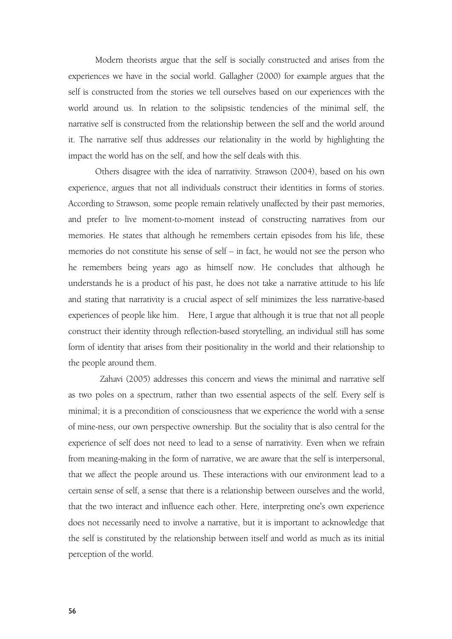Modern theorists argue that the self is socially constructed and arises from the experiences we have in the social world. Gallagher (2000) for example argues that the self is constructed from the stories we tell ourselves based on our experiences with the world around us. In relation to the solipsistic tendencies of the minimal self, the narrative self is constructed from the relationship between the self and the world around it. The narrative self thus addresses our relationality in the world by highlighting the impact the world has on the self, and how the self deals with this.

Others disagree with the idea of narrativity. Strawson (2004), based on his own experience, argues that not all individuals construct their identities in forms of stories. According to Strawson, some people remain relatively unaffected by their past memories, and prefer to live moment-to-moment instead of constructing narratives from our memories. He states that although he remembers certain episodes from his life, these memories do not constitute his sense of self – in fact, he would not see the person who he remembers being years ago as himself now. He concludes that although he understands he is a product of his past, he does not take a narrative attitude to his life and stating that narrativity is a crucial aspect of self minimizes the less narrative-based experiences of people like him. Here, I argue that although it is true that not all people construct their identity through reflection-based storytelling, an individual still has some form of identity that arises from their positionality in the world and their relationship to the people around them.

Zahavi (2005) addresses this concern and views the minimal and narrative self as two poles on a spectrum, rather than two essential aspects of the self. Every self is minimal; it is a precondition of consciousness that we experience the world with a sense of mine-ness, our own perspective ownership. But the sociality that is also central for the experience of self does not need to lead to a sense of narrativity. Even when we refrain from meaning-making in the form of narrative, we are aware that the self is interpersonal, that we affect the people around us. These interactions with our environment lead to a certain sense of self, a sense that there is a relationship between ourselves and the world, that the two interact and influence each other. Here, interpreting one's own experience does not necessarily need to involve a narrative, but it is important to acknowledge that the self is constituted by the relationship between itself and world as much as its initial perception of the world.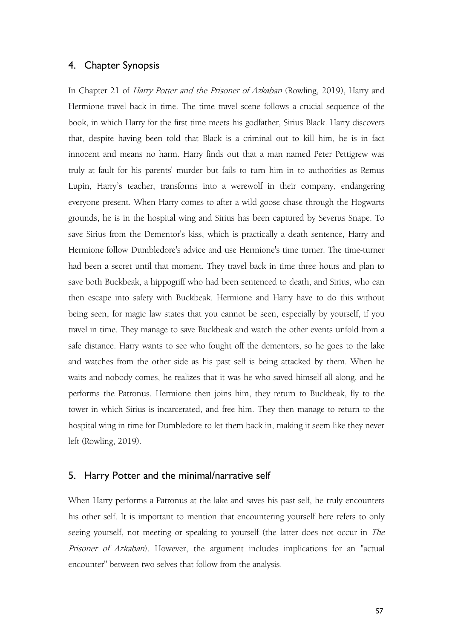### 4. Chapter Synopsis

In Chapter 21 of *Harry Potter and the Prisoner of Azkaban* (Rowling, 2019), Harry and Hermione travel back in time. The time travel scene follows a crucial sequence of the book, in which Harry for the first time meets his godfather, Sirius Black. Harry discovers that, despite having been told that Black is a criminal out to kill him, he isin fact innocent and means no harm. Harry finds out that a man named Peter Pettigrew was truly at fault for his parents' murder but fails to turn him in to authorities as Remus Lupin, Harry's teacher, transforms into a werewolf in their company, endangering everyone present. When Harry comes to after a wild goose chase through the Hogwarts grounds, he is in the hospital wing and Sirius has been captured by Severus Snape. To save Sirius from the Dementor's kiss, which is practically a death sentence, Harry and Hermione follow Dumbledore's advice and use Hermione's time turner. The time-turner had been a secret until that moment. They travel back in time three hours and plan to save both Buckbeak, a hippogriff who had been sentenced to death, and Sirius, who can then escape into safety with Buckbeak. Hermione and Harry have to do this without being seen, for magic law states that you cannot be seen, especially by yourself, if you travel in time. They manage to save Buckbeak and watch the other events unfold from a safe distance. Harry wants to see who fought off the dementors, so hegoes to the lake and watches from the other side as his past self is being attacked by them. When he waits and nobody comes, he realizes that it was he who saved himself all along, and he performs the Patronus. Hermione then joins him, they return to Buckbeak, fly to the tower in which Sirius is incarcerated, and free him. They then manage to return to the hospital wing in time for Dumbledore to let them back in, making it seem like they never left (Rowling, 2019).

### 5. Harry Potter and the minimal/narrative self

When Harry performs a Patronus at the lake and saves his past self, he truly encounters his other self. It is important to mention that encountering yourself here refers to only seeing yourself, not meeting or speaking to yourself (the latter does not occur in The Prisoner of Azkaban). However, the argument includes implications for an "actual encounter" between two selves that follow from the analysis.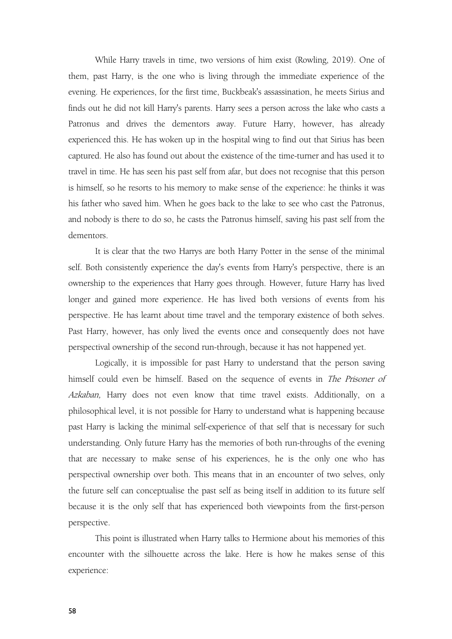While Harry travels in time, two versions of him exist (Rowling, 2019). One of them, past Harry, is the one who is living through the immediate experience of the evening. He experiences, for the first time, Buckbeak's assassination, he meets Sirius and finds out he did not kill Harry's parents. Harry sees a person across the lake who casts a Patronus and drives the dementors away. Future Harry, however, has already experienced this. He has woken up in the hospital wing to find out that Sirius has been captured. He also has found out about the existence of the time-turner and has used it to travel in time. He has seen his past self from afar, but does not recognise that this person is himself, so he resorts to his memory to make sense of the experience: he thinks it was his father who saved him. When he goes back to the lake to see who cast the Patronus, and nobody is there to do so, he casts the Patronus himself, saving his past self from the dementors.

It is clear that the two Harrys are both Harry Potter in the sense of the minimal self. Both consistently experience the day's events from Harry's perspective, there is an ownership to the experiences that Harry goes through. However, future Harry has lived longer and gained more experience. He has lived both versions of events from his perspective. He has learnt about time travel and the temporary existence of both selves. Past Harry, however, has only lived the events once and consequently does not have perspectival ownership of the second run-through, because it has not happened yet.

Logically, it is impossible for past Harry to understand that the person saving himself could even be himself. Based on the sequence of events in The Prisoner of Azkaban, Harry does not even know that time travel exists. Additionally, on a philosophical level, it is not possible for Harry to understand what is happening because past Harry is lacking the minimal self-experience of that self that is necessary for such understanding. Only future Harry has the memories of both run-throughs of the evening that are necessary to make sense of his experiences, he is the only one who has perspectival ownership over both. This means that in an encounter of two selves, only the future self can conceptualise the past self as being itself in addition to its future self because it is the only self that has experienced both viewpoints from the first-person perspective.

This point is illustrated when Harry talks to Hermione about his memories of this encounter with the silhouette across the lake. Here is how he makes sense of this experience: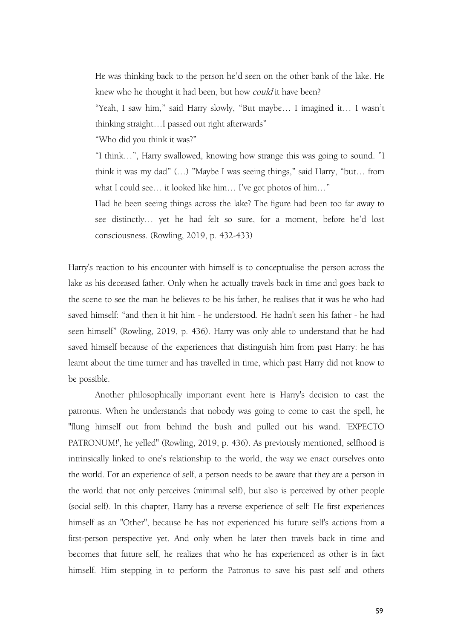He was thinking back to the person he'd seen on the other bank of the lake. He knew who he thought it had been, but how *could* it have been?

"Yeah, I saw him," said Harry slowly, "But maybe… I imagined it… I wasn't thinking straight…I passed out right afterwards"

"Who did you think it was?"

"I think…", Harry swallowed, knowing how strange this was going to sound. "I think it was my dad" (…)"Maybe I was seeing things," said Harry, "but… from what I could see… it looked like him… I've got photos of him…"

Had he been seeing things across the lake? The figure had been too far away to see distinctly… yet he had felt so sure, for a moment, before he'd lost consciousness. (Rowling, 2019, p. 432-433)

Harry's reaction to his encounter with himself is to conceptualise the person across the lake as his deceased father. Only when he actually travels back in time and goes back to the scene to see the man he believes to be his father, he realises that it was he who had saved himself: "and then it hit him - he understood. He hadn't seen his father - he had seen himself" (Rowling, 2019, p. 436). Harry was only able to understand that he had saved himself because of the experiences that distinguish him from past Harry: he has learnt about the time turner and has travelled in time, which past Harry did not know to be possible.

Another philosophically important event here is Harry's decision to cast the patronus. When he understands that nobody was going to come to cast the spell, he "flung himself out from behind the bush and pulled out his wand. 'EXPECTO PATRONUM!', he yelled" (Rowling, 2019, p. 436). As previously mentioned, selfhood is intrinsically linked to one's relationship to the world, the way we enact ourselves onto the world. For an experience of self, a person needs to be aware that they are a person in the world that not only perceives (minimal self), but also is perceived by other people (social self). In this chapter, Harry has a reverse experience of self: He first experiences himself as an "Other", because he has not experienced his future self's actions from a first-person perspective yet. And only when he later then travels back in time and becomes that future self, he realizes that who he has experienced as other is in fact himself. Him stepping in to perform the Patronus to save his past self and others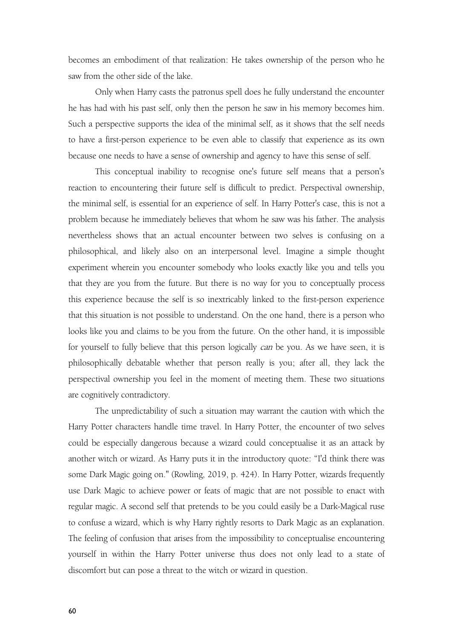becomes an embodiment of that realization: He takes ownership of the person who he saw from the other side of the lake.

Only when Harry casts the patronus spell does he fully understand the encounter he has had with his past self, only then the person he saw in his memory becomes him. Such a perspective supports the idea of the minimal self, as it shows that the self needs to have a first-person experience to be even able to classify that experience as its own because one needs to have a sense of ownership and agency to have this sense of self.

This conceptual inability to recognise one's future self means that a person's reaction to encountering their future self is difficult to predict. Perspectival ownership, the minimal self, is essential for an experience of self. In Harry Potter's case, this is not a problem because he immediately believes that whom he saw was his father. The analysis nevertheless shows that an actual encounter between two selves is confusing on a philosophical, and likely also on an interpersonal level. Imagine a simple thought experiment wherein you encounter somebody who looks exactly like you and tells you that they are you from the future. But there is no way for you to conceptually process this experience because the self is so inextricably linked to the first-person experience that this situation is not possible to understand. On the one hand, there is a person who looks like you and claims to be you from the future. On the other hand, it is impossible for yourself to fully believe that this person logically can be you. As we have seen, it is philosophically debatable whether that person really is you; after all, they lack the perspectival ownership you feel in the moment of meeting them. These two situations are cognitively contradictory.

The unpredictability of such a situation maywarrant the caution with which the Harry Potter characters handle time travel. In Harry Potter, the encounter of two selves could be especially dangerous because a wizard could conceptualise it as an attack by another witch or wizard. As Harry puts it in the introductory quote: "I'd think there was some Dark Magic going on." (Rowling, 2019, p. 424). In Harry Potter, wizards frequently use Dark Magic to achieve power or feats of magic that are not possible to enact with regular magic. A second self that pretends to be you could easily be a Dark-Magical ruse to confuse a wizard, which is why Harry rightly resorts to Dark Magic as an explanation. The feeling of confusion that arises from the impossibility to conceptualise encountering yourself in within the Harry Potter universe thus does not only lead to a state of discomfort but can pose a threat to the witch or wizard in question.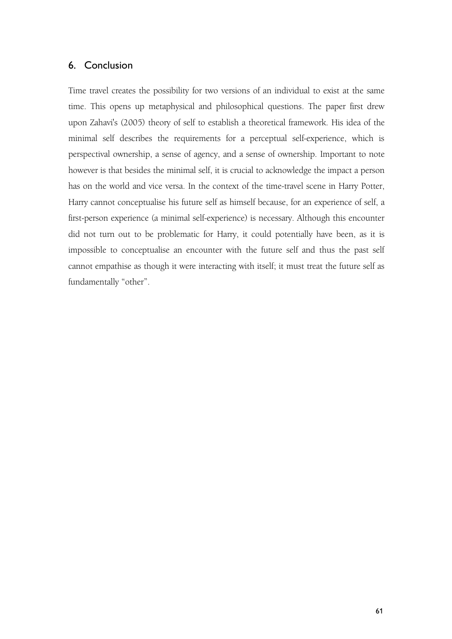### 6. Conclusion

Time travel creates the possibility for two versions of an individual to exist at the same time. This opens up metaphysical and philosophical questions. The paper first drew upon Zahavi's (2005) theory of self to establish a theoretical framework. His idea of the minimal self describes the requirements for a perceptual self-experience, which is perspectival ownership, a sense of agency, and a sense of ownership. Important to note however is that besides the minimal self, it is crucial to acknowledge the impact a person has on the world and vice versa. In the context of the time-travel scene in Harry Potter, Harry cannot conceptualise his future self as himself because, for an experience of self, a first-person experience (a minimal self-experience) is necessary. Although this encounter did not turn out to be problematic for Harry, it could potentially have been, as it is impossible to conceptualise an encounter with the future self and thus the past self cannot empathise as though it were interacting with itself; it must treat the future self as fundamentally "other".